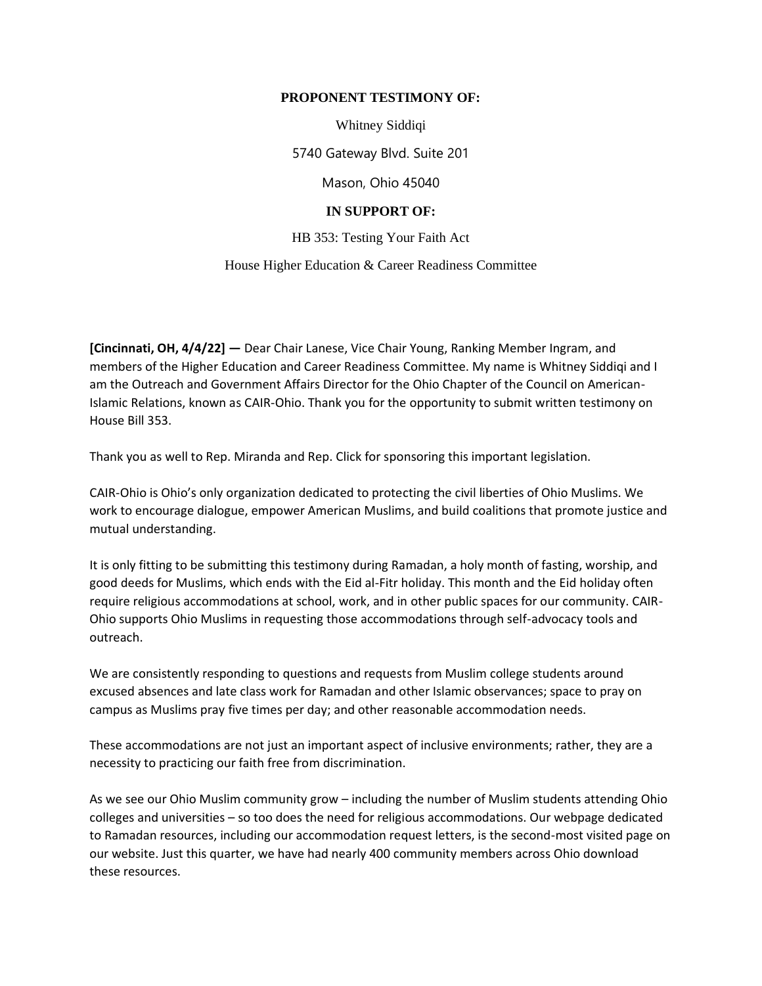## **PROPONENT TESTIMONY OF:**

Whitney Siddiqi

5740 Gateway Blvd. Suite 201

Mason, Ohio 45040

## **IN SUPPORT OF:**

HB 353: Testing Your Faith Act

## House Higher Education & Career Readiness Committee

**[Cincinnati, OH, 4/4/22] —** Dear Chair Lanese, Vice Chair Young, Ranking Member Ingram, and members of the Higher Education and Career Readiness Committee. My name is Whitney Siddiqi and I am the Outreach and Government Affairs Director for the Ohio Chapter of the Council on American-Islamic Relations, known as CAIR-Ohio. Thank you for the opportunity to submit written testimony on House Bill 353.

Thank you as well to Rep. Miranda and Rep. Click for sponsoring this important legislation.

CAIR-Ohio is Ohio's only organization dedicated to protecting the civil liberties of Ohio Muslims. We work to encourage dialogue, empower American Muslims, and build coalitions that promote justice and mutual understanding.

It is only fitting to be submitting this testimony during Ramadan, a holy month of fasting, worship, and good deeds for Muslims, which ends with the Eid al-Fitr holiday. This month and the Eid holiday often require religious accommodations at school, work, and in other public spaces for our community. CAIR-Ohio supports Ohio Muslims in requesting those accommodations through self-advocacy tools and outreach.

We are consistently responding to questions and requests from Muslim college students around excused absences and late class work for Ramadan and other Islamic observances; space to pray on campus as Muslims pray five times per day; and other reasonable accommodation needs.

These accommodations are not just an important aspect of inclusive environments; rather, they are a necessity to practicing our faith free from discrimination.

As we see our Ohio Muslim community grow – including the number of Muslim students attending Ohio colleges and universities – so too does the need for religious accommodations. Our webpage dedicated to Ramadan resources, including our accommodation request letters, is the second-most visited page on our website. Just this quarter, we have had nearly 400 community members across Ohio download these resources.